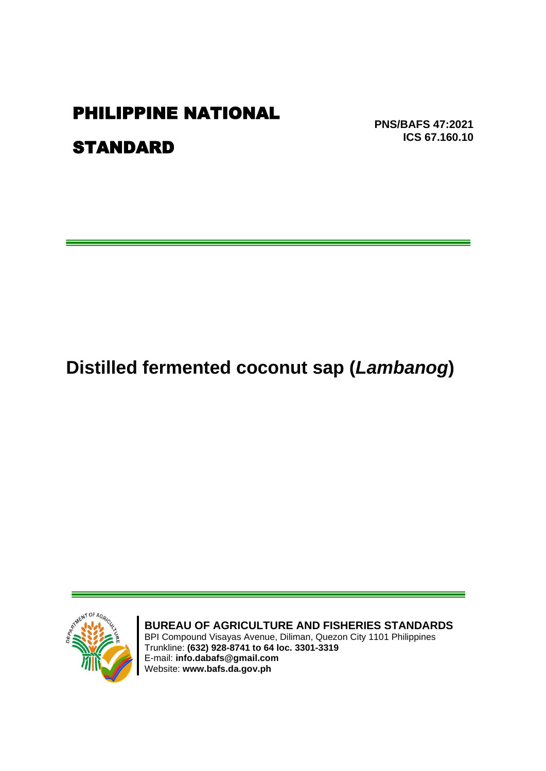## PHILIPPINE NATIONAL

STANDARD

**PNS/BAFS 47:2021 ICS 67.160.10**

# **Distilled fermented coconut sap (***Lambanog***)**



**BUREAU OF AGRICULTURE AND FISHERIES STANDARDS** BPI Compound Visayas Avenue, Diliman, Quezon City 1101 Philippines

Trunkline: **(632) 928-8741 to 64 loc. 3301-3319** E-mail: **info.dabafs@gmail.com** Website: **www.bafs.da.gov.ph**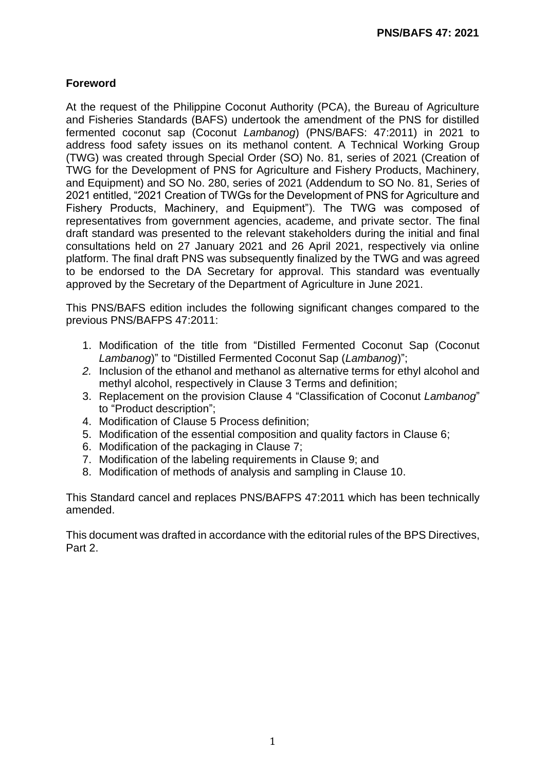### **Foreword**

At the request of the Philippine Coconut Authority (PCA), the Bureau of Agriculture and Fisheries Standards (BAFS) undertook the amendment of the PNS for distilled fermented coconut sap (Coconut *Lambanog*) (PNS/BAFS: 47:2011) in 2021 to address food safety issues on its methanol content. A Technical Working Group (TWG) was created through Special Order (SO) No. 81, series of 2021 (Creation of TWG for the Development of PNS for Agriculture and Fishery Products, Machinery, and Equipment) and SO No. 280, series of 2021 (Addendum to SO No. 81, Series of 2021 entitled, "2021 Creation of TWGs for the Development of PNS for Agriculture and Fishery Products, Machinery, and Equipment"). The TWG was composed of representatives from government agencies, academe, and private sector. The final draft standard was presented to the relevant stakeholders during the initial and final consultations held on 27 January 2021 and 26 April 2021, respectively via online platform. The final draft PNS was subsequently finalized by the TWG and was agreed to be endorsed to the DA Secretary for approval. This standard was eventually approved by the Secretary of the Department of Agriculture in June 2021.

This PNS/BAFS edition includes the following significant changes compared to the previous PNS/BAFPS 47:2011:

- 1. Modification of the title from "Distilled Fermented Coconut Sap (Coconut *Lambanog*)" to "Distilled Fermented Coconut Sap (*Lambanog*)";
- *2.* Inclusion of the ethanol and methanol as alternative terms for ethyl alcohol and methyl alcohol, respectively in Clause 3 Terms and definition;
- 3. Replacement on the provision Clause 4 "Classification of Coconut *Lambanog*" to "Product description";
- 4. Modification of Clause 5 Process definition;
- 5. Modification of the essential composition and quality factors in Clause 6;
- 6. Modification of the packaging in Clause 7;
- 7. Modification of the labeling requirements in Clause 9; and
- 8. Modification of methods of analysis and sampling in Clause 10.

This Standard cancel and replaces PNS/BAFPS 47:2011 which has been technically amended.

This document was drafted in accordance with the editorial rules of the BPS Directives, Part 2.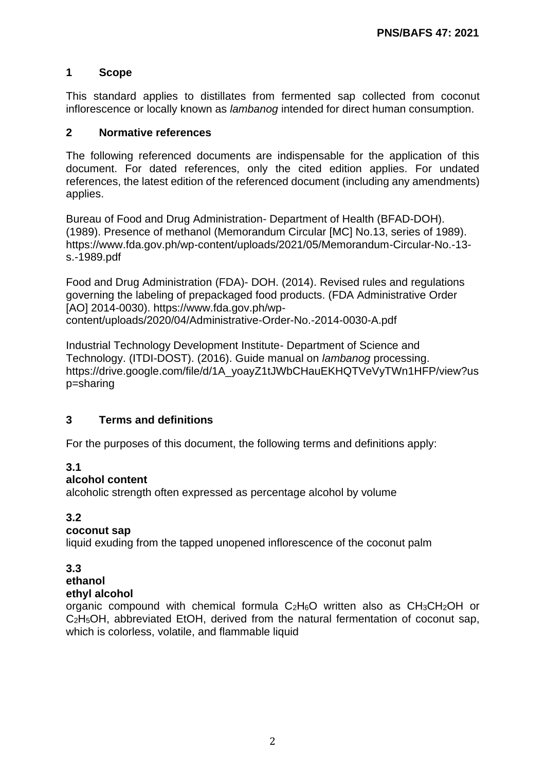#### **1 Scope**

This standard applies to distillates from fermented sap collected from coconut inflorescence or locally known as *lambanog* intended for direct human consumption.

#### **2 Normative references**

The following referenced documents are indispensable for the application of this document. For dated references, only the cited edition applies. For undated references, the latest edition of the referenced document (including any amendments) applies.

Bureau of Food and Drug Administration- Department of Health (BFAD-DOH). (1989). Presence of methanol (Memorandum Circular [MC] No.13, series of 1989). https://www.fda.gov.ph/wp-content/uploads/2021/05/Memorandum-Circular-No.-13 s.-1989.pdf

Food and Drug Administration (FDA)- DOH. (2014). Revised rules and regulations governing the labeling of prepackaged food products. (FDA Administrative Order [AO] 2014-0030). https://www.fda.gov.ph/wpcontent/uploads/2020/04/Administrative-Order-No.-2014-0030-A.pdf

Industrial Technology Development Institute- Department of Science and Technology. (ITDI-DOST). (2016). Guide manual on *lambanog* processing. https://drive.google.com/file/d/1A\_yoayZ1tJWbCHauEKHQTVeVyTWn1HFP/view?us p=sharing

#### **3 Terms and definitions**

For the purposes of this document, the following terms and definitions apply:

#### **3.1**

#### **alcohol content**

alcoholic strength often expressed as percentage alcohol by volume

#### **3.2**

#### **coconut sap**

liquid exuding from the tapped unopened inflorescence of the coconut palm

#### **3.3**

#### **ethanol**

#### **ethyl alcohol**

organic compound with chemical formula  $C_2H_6O$  written also as  $CH_3CH_2OH$  or C2H5OH, abbreviated EtOH, derived from the natural fermentation of coconut sap, which is colorless, volatile, and flammable liquid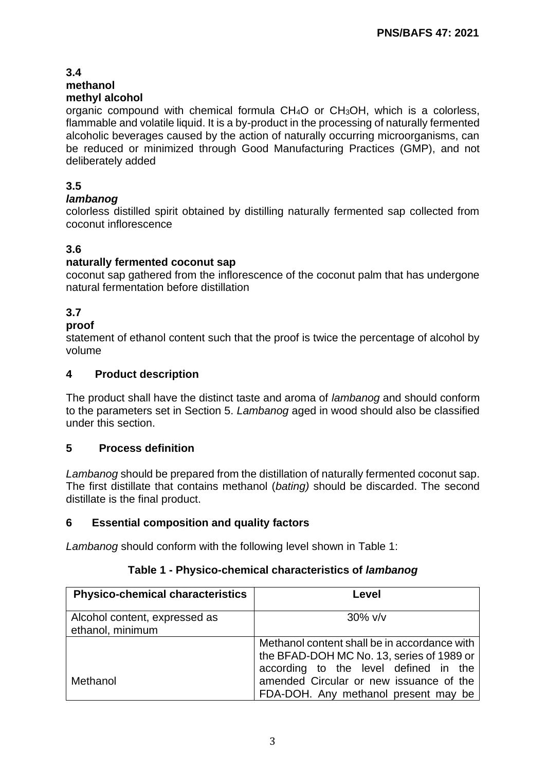#### **3.4 methanol methyl alcohol**

organic compound with chemical formula CH4O or CH3OH, which is a colorless, flammable and volatile liquid. It is a by-product in the processing of naturally fermented alcoholic beverages caused by the action of naturally occurring microorganisms, can be reduced or minimized through Good Manufacturing Practices (GMP), and not deliberately added

### **3.5**

#### *lambanog*

colorless distilled spirit obtained by distilling naturally fermented sap collected from coconut inflorescence

#### **3.6**

#### **naturally fermented coconut sap**

coconut sap gathered from the inflorescence of the coconut palm that has undergone natural fermentation before distillation

#### **3.7**

#### **proof**

statement of ethanol content such that the proof is twice the percentage of alcohol by volume

#### **4 Product description**

The product shall have the distinct taste and aroma of *lambanog* and should conform to the parameters set in Section 5. *Lambanog* aged in wood should also be classified under this section.

#### **5 Process definition**

*Lambanog* should be prepared from the distillation of naturally fermented coconut sap. The first distillate that contains methanol (*bating)* should be discarded. The second distillate is the final product.

#### **6 Essential composition and quality factors**

*Lambanog* should conform with the following level shown in Table 1:

| <b>Physico-chemical characteristics</b>           | Level                                                                                                                              |
|---------------------------------------------------|------------------------------------------------------------------------------------------------------------------------------------|
| Alcohol content, expressed as<br>ethanol, minimum | $30\%$ v/v                                                                                                                         |
|                                                   | Methanol content shall be in accordance with<br>the BFAD-DOH MC No. 13, series of 1989 or<br>according to the level defined in the |
| Methanol                                          | amended Circular or new issuance of the<br>FDA-DOH. Any methanol present may be                                                    |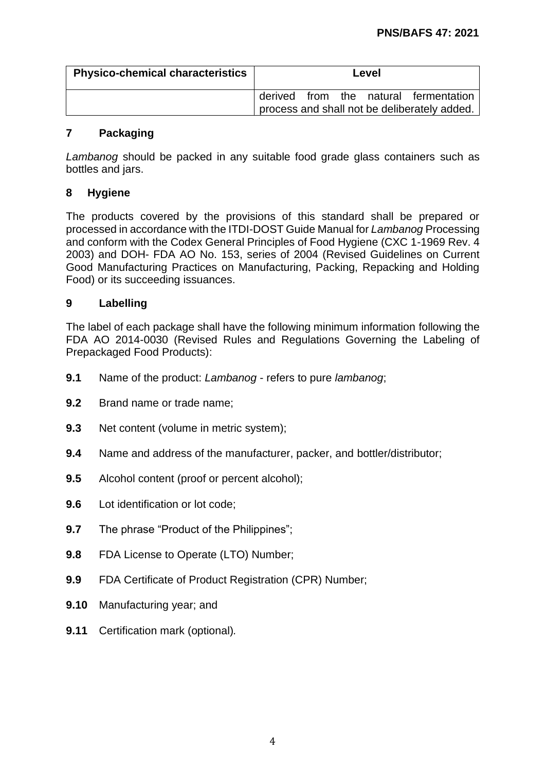| <b>Physico-chemical characteristics</b> | Level                                        |  |
|-----------------------------------------|----------------------------------------------|--|
|                                         | derived from the natural fermentation        |  |
|                                         | process and shall not be deliberately added. |  |

#### **7 Packaging**

*Lambanog* should be packed in any suitable food grade glass containers such as bottles and jars.

#### **8 Hygiene**

The products covered by the provisions of this standard shall be prepared or processed in accordance with the ITDI-DOST Guide Manual for *Lambanog* Processing and conform with the Codex General Principles of Food Hygiene (CXC 1-1969 Rev. 4 2003) and DOH- FDA AO No. 153, series of 2004 (Revised Guidelines on Current Good Manufacturing Practices on Manufacturing, Packing, Repacking and Holding Food) or its succeeding issuances.

#### **9 Labelling**

The label of each package shall have the following minimum information following the FDA AO 2014-0030 (Revised Rules and Regulations Governing the Labeling of Prepackaged Food Products):

- **9.1** Name of the product: *Lambanog* refers to pure *lambanog*;
- **9.2** Brand name or trade name;
- **9.3** Net content (volume in metric system);
- **9.4** Name and address of the manufacturer, packer, and bottler/distributor;
- **9.5** Alcohol content (proof or percent alcohol);
- **9.6** Lot identification or lot code;
- **9.7** The phrase "Product of the Philippines";
- **9.8** FDA License to Operate (LTO) Number;
- **9.9** FDA Certificate of Product Registration (CPR) Number;
- **9.10** Manufacturing year; and
- **9.11** Certification mark (optional)*.*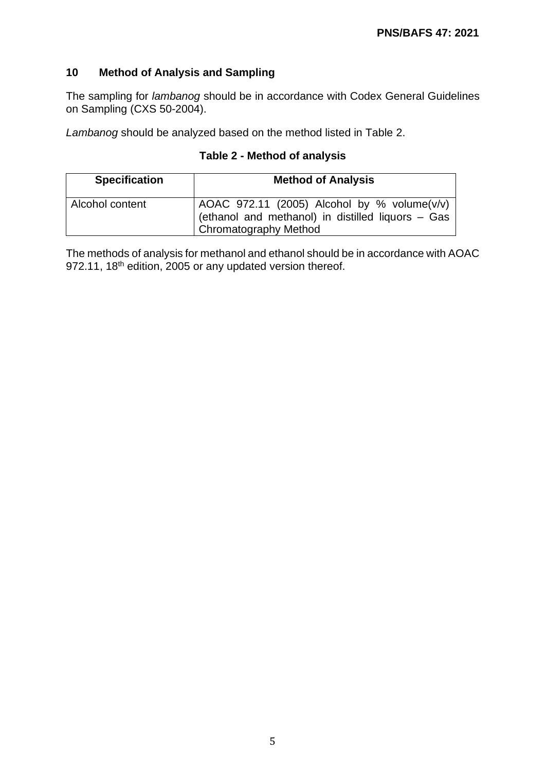#### **10 Method of Analysis and Sampling**

The sampling for *lambanog* should be in accordance with Codex General Guidelines on Sampling (CXS 50-2004).

*Lambanog* should be analyzed based on the method listed in Table 2.

#### **Table 2 - Method of analysis**

| <b>Specification</b> | <b>Method of Analysis</b>                                                                                                         |
|----------------------|-----------------------------------------------------------------------------------------------------------------------------------|
| Alcohol content      | $\vert$ AOAC 972.11 (2005) Alcohol by % volume(v/v)<br>(ethanol and methanol) in distilled liquors - Gas<br>Chromatography Method |

The methods of analysis for methanol and ethanol should be in accordance with AOAC 972.11, 18<sup>th</sup> edition, 2005 or any updated version thereof.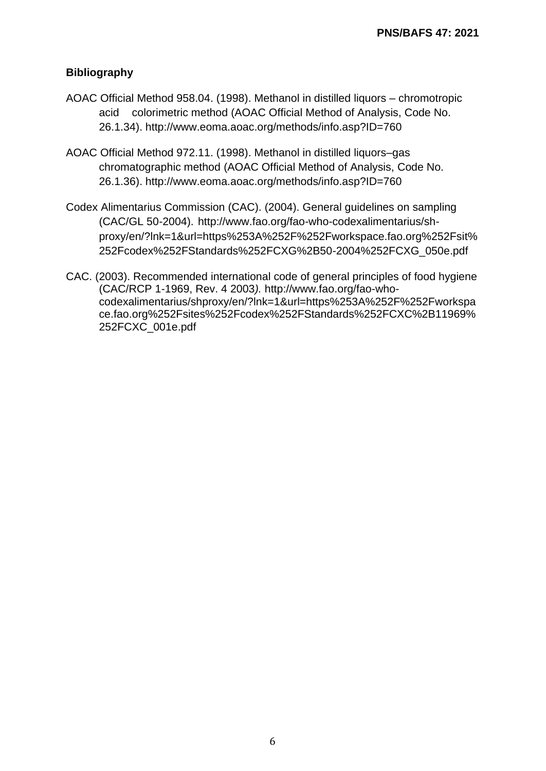#### **Bibliography**

- AOAC Official Method 958.04. (1998). Methanol in distilled liquors chromotropic acid colorimetric method (AOAC Official Method of Analysis, Code No. 26.1.34). http://www.eoma.aoac.org/methods/info.asp?ID=760
- AOAC Official Method 972.11. (1998). Methanol in distilled liquors–gas chromatographic method (AOAC Official Method of Analysis, Code No. 26.1.36). http://www.eoma.aoac.org/methods/info.asp?ID=760
- Codex Alimentarius Commission (CAC). (2004). General guidelines on sampling (CAC/GL 50-2004). http://www.fao.org/fao-who-codexalimentarius/shproxy/en/?lnk=1&url=https%253A%252F%252Fworkspace.fao.org%252Fsit% 252Fcodex%252FStandards%252FCXG%2B50-2004%252FCXG\_050e.pdf
- CAC. (2003). Recommended international code of general principles of food hygiene (CAC/RCP 1-1969, Rev. 4 2003*).* http://www.fao.org/fao-whocodexalimentarius/shproxy/en/?lnk=1&url=https%253A%252F%252Fworkspa ce.fao.org%252Fsites%252Fcodex%252FStandards%252FCXC%2B11969% 252FCXC\_001e.pdf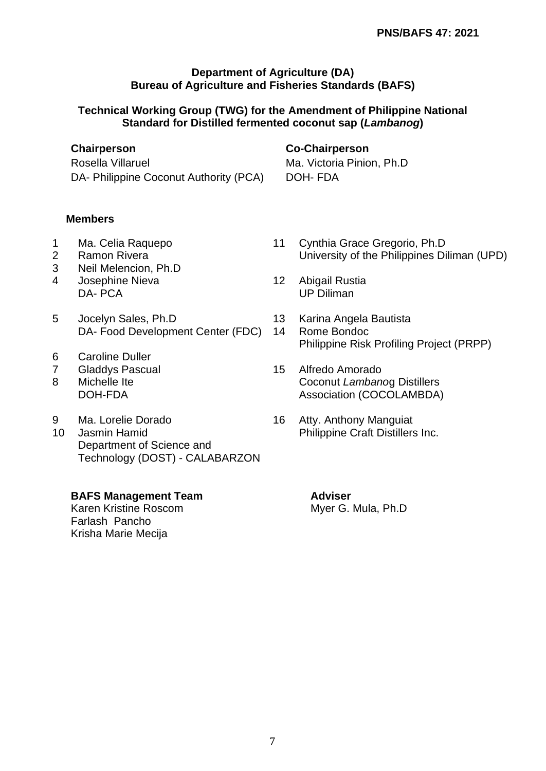#### **Department of Agriculture (DA) Bureau of Agriculture and Fisheries Standards (BAFS)**

#### **Technical Working Group (TWG) for the Amendment of Philippine National Standard for Distilled fermented coconut sap (***Lambanog***)**

Rosella Villaruel **Ma. Victoria Pinion, Ph.D** 

#### **Chairperson Co-Chairperson**

DA- Philippine Coconut Authority (PCA) DOH- FDA

#### **Members**

- 
- 
- 3 Neil Melencion, Ph.D 4 Josephine Nieva<br>
12 Abigail Rustia
- DA- PCA UP Diliman
- 5 Jocelyn Sales, Ph.D 13 Karina Angela Bautista DA- Food Development Center (FDC) 14 Rome Bondoc
- 6 Caroline Duller
- 7 Gladdys Pascual 15 Alfredo Amorado
- 
- 
- Department of Science and Technology (DOST) - CALABARZON

#### **BAFS Management Team Adviser**

Karen Kristine Roscom Myer G. Mula, Ph.D Farlash Pancho Krisha Marie Mecija

- 1 Ma. Celia Raquepo 11 Cynthia Grace Gregorio, Ph.D 2 Ramon Rivera **Exercise Strutters** University of the Philippines Diliman (UPD)
	-
	-
	- Philippine Risk Profiling Project (PRPP)
- 8 Michelle Ite Coconut *Lambano*g Distillers DOH-FDA Association (COCOLAMBDA)
- 9 Ma. Lorelie Dorado 16 Atty. Anthony Manguiat 10 Jasmin Hamid **All and Struth Philippine Craft Distillers Inc.**